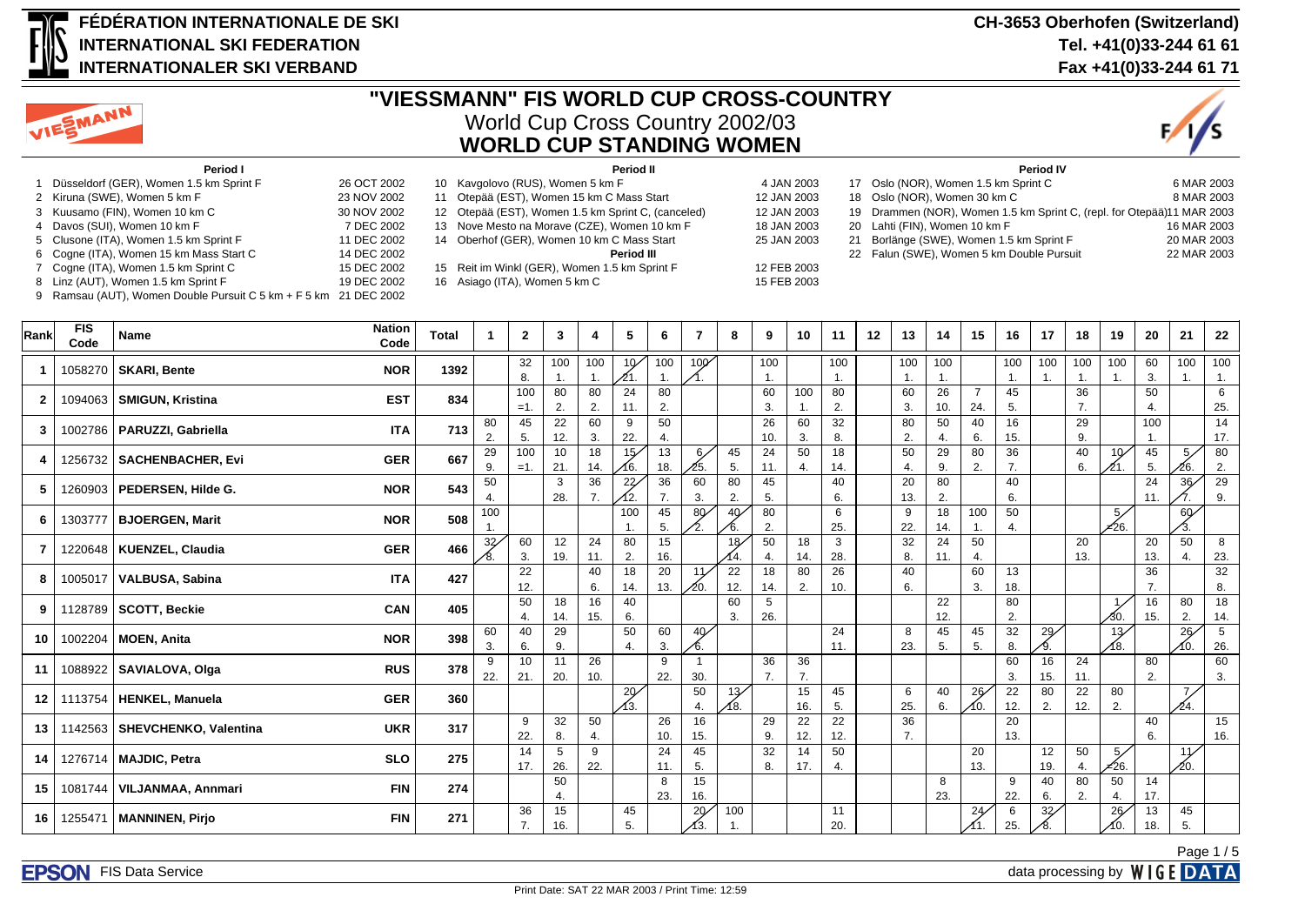

#### **FÉDÉRATION INTERNATIONALE DE SKI INTERNATIONAL SKI FEDERATION INTERNATIONALER SKI VERBAND**

9 Ramsau (AUT), Women Double Pursuit C 5 km + F 5 km 21 DEC 2002



# **"VIESSMANN" FIS WORLD CUP CROSS-COUNTRY** World Cup Cross Country 2002/03 **WORLD CUP STANDING WOMEN**



| Period I                                  |             | Period II                                          |             | <b>Period IV</b>                                                       |             |
|-------------------------------------------|-------------|----------------------------------------------------|-------------|------------------------------------------------------------------------|-------------|
| 1 Düsseldorf (GER), Women 1.5 km Sprint F | 26 OCT 2002 | 10 Kavgolovo (RUS), Women 5 km F                   | 4 JAN 2003  | 17 Oslo (NOR), Women 1.5 km Sprint C                                   | 6 MAR 2003  |
| 2 Kiruna (SWE), Women 5 km F              | 23 NOV 2002 | 11 Otepää (EST), Women 15 km C Mass Start          | 12 JAN 2003 | 18 Oslo (NOR), Women 30 km C                                           | 8 MAR 2003  |
| 3 Kuusamo (FIN), Women 10 km C            | 30 NOV 2002 | 12 Otepää (EST), Women 1.5 km Sprint C, (canceled) | 12 JAN 2003 | 19 Drammen (NOR), Women 1.5 km Sprint C, (repl. for Otepää)11 MAR 2003 |             |
| 4 Davos (SUI), Women 10 km F              | 7 DEC 2002  | 13 Nove Mesto na Morave (CZE), Women 10 km F       | 18 JAN 2003 | 20 Lahti (FIN), Women 10 km F                                          | 16 MAR 2003 |
| 5 Clusone (ITA), Women 1.5 km Sprint F    | 11 DEC 2002 | 14 Oberhof (GER), Women 10 km C Mass Start         | 25 JAN 2003 | 21 Borlänge (SWE), Women 1.5 km Sprint F                               | 20 MAR 2003 |
| 6 Cogne (ITA), Women 15 km Mass Start C   | 14 DEC 2002 | Period III                                         |             | 22 Falun (SWE), Women 5 km Double Pursuit                              | 22 MAR 2003 |
| 7 Cogne (ITA), Women 1.5 km Sprint C      | 15 DEC 2002 | 15 Reit im Winkl (GER), Women 1.5 km Sprint F      | 12 FEB 2003 |                                                                        |             |
| 8 Linz (AUT), Women 1.5 km Sprint F       | 19 DEC 2002 | 16 Asiago (ITA), Women 5 km C                      | 15 FEB 2003 |                                                                        |             |

**Rank FIS Code Name Nation** || 10 || 10 || 10 || 10 || 10 || 11 || 12 || 13 || 14 || 15 || 17 || 18 || 19 || 20 || 21 || 22<br>| 23 || 24 || 25 || 10 || 11 || 12 || 13 || 14 || 15 || 16 || 17 || 18 || 19 || 20 || 21 || 22 **1** | 1058270 **SKARI, Bente NOR NOR** | 1392 |  $\begin{bmatrix} 32 \\ 2 \end{bmatrix}$ 8. 100 1. 100 1.  $10<sup>2</sup>$ 21. 100 1. 100 1. 100 1. 100 1. 100 1. 100 1. 100 1. 100 1. 100 1. 100 1. 60 3. 100 1. 100 1. **2** 1094063 **SMIGUN, Kristina EST EST** 834 100  $=1$ 80 2. 80 2. 24 11. 80 2. 60 3. 100 1. 80 2. 60 3. 26 10. 7 24. 45 5. 36 7. 50 4. 6 25. **3**  $\begin{bmatrix} 1002786 \end{bmatrix}$  **PARUZZI, Gabriella ITA ITA** 713  $\begin{bmatrix} 80 \end{bmatrix}$  $\overline{2}$ 45 5. 22 12. 60 3. 9 22. 50 4. 26 10. 60 3. 32 8. 80 2. 50 4. 40 6. 16 15. 29 9. 100 1. 14 17. **<sup>4</sup>** <sup>1256732</sup> **SACHENBACHER, Evi GER 667** <sup>29</sup> 9. 100  $=1$ . 10 21. 18 14.  $15/$ 16. 13 18.  $6<sub>2</sub>$ 25. 45 5. 24 11. 50 4. 18 14. 50 4. 29 9. 80 2. 36 7. 40 6.  $10<sub>1</sub>$ 21. 45 5. 5 26. 80 2. **<sup>5</sup>** <sup>1260903</sup> **PEDERSEN, Hilde G. NOR 543** <sup>50</sup> 4. 3 28. 36 7. 22 12. 36 7. 60 3. 80 2. 45 5. 40 6.  $\overline{20}$ 13.  $\overline{80}$ 2. 40 6. 24 11. 36 7. 29 9. **<sup>6</sup>** <sup>1303777</sup> **BJOERGEN, Marit NOR 508** <sup>100</sup>  $\frac{1}{32}$ 100 1. 45 5. 80 2. 40 6. 80 2. 6 25. 9 22. 18 14. 100 1. 50 4.  $\overline{5}$ =26. 60 3. **7** | 1220648 | **KUENZEL, Claudia GER** | 466 8. 60 3. 12 19. 24 11. 80 2. 15 16. 18 14. 50 4. 18 14. 3 28. 32 8. 24 11. 50 4. 20 13. 20 13. 50 4. 8 23. **<sup>8</sup>** <sup>1005017</sup> **VALBUSA, Sabina ITA 427** <sup>22</sup> 12. 40 6. 18 14. 20 13. 11  $\frac{1}{20}$ 22 12. 18 14. 80 2. 26 10. 40 6. 60 3. 13 18. 36 7. 32 8. **<sup>9</sup>** <sup>1128789</sup> **SCOTT, Beckie CAN 405** <sup>50</sup> 4. 18 14. 16 15. 40 6.  $\overline{60}$ 3. 5 26. 22 12. 80  $\mathcal{L}$ 1 30. 16 15. 80 2. 18 14. **10** 1002204 **MOEN, Anita NOR 1002204 MOEN, Anita** 3. 40 6. 29 9. 50 4. 60 3.  $40<sup>2</sup>$ 6. 24 11. 8 23. 45 5. 45 5. 32 8. 29 9.  $\overline{13}$ 18. 26 10. 5 26. **11** 1088922 **SAVIALOVA, Olga RUS 878 378 8** 22. 10 21. 11 20. 26 10. 9 22. 1 30. 36 7. 36 7. 60 3. 16 15. 24 11. 80  $\overline{2}$ 60 3. **<sup>12</sup>** <sup>1113754</sup> **HENKEL, Manuela GER 360** <sup>20</sup> 13. 50 4. 13 18. 15 16. 45 5.  $\overline{6}$ 25. 40 6. 26 10.  $\overline{22}$ 12. 80 2.  $\overline{22}$ 12.  $\overline{80}$ 2. 7 61 **13** 1142563 SHEVCHENKO, Valentina **UKR** 317 9 22. 32 8. 50 4. 26 10. 16 15. 29 9. 22 12. 22 12. 36 7. 20 13. 40 6. 15 16. **14** 1276714 **MAJDIC, Petra SLO** 275 14 17.  $\overline{5}$ 26.  $\overline{9}$ 22.  $\overline{24}$ 11. 45 5.  $\overline{32}$ 8.  $\overline{14}$ 17. 50 4.  $\overline{20}$ 13. 12 19. 50 4.  $5/$ =26. 11 20. **<sup>15</sup>** <sup>1081744</sup> **VILJANMAA, Annmari FIN 274** <sup>50</sup> 4. 8 23. 15 16. 8 23. 9 22. 40 6. 80 2. 50 4. 14 17. **<sup>16</sup>** <sup>1255471</sup> **MANNINEN, Pirjo FIN 271** <sup>36</sup> 7.  $\overline{15}$ 16. 45 5. 20 13. 100 1. 11 20. 24 11.  $\overline{6}$ 25.  $\overline{32}$ 8.  $\overline{26}$ 10. 13 18. 45 5.

**FPSON** FIS Data Service data processing by **WIGF DATA** 

Page 1 / 5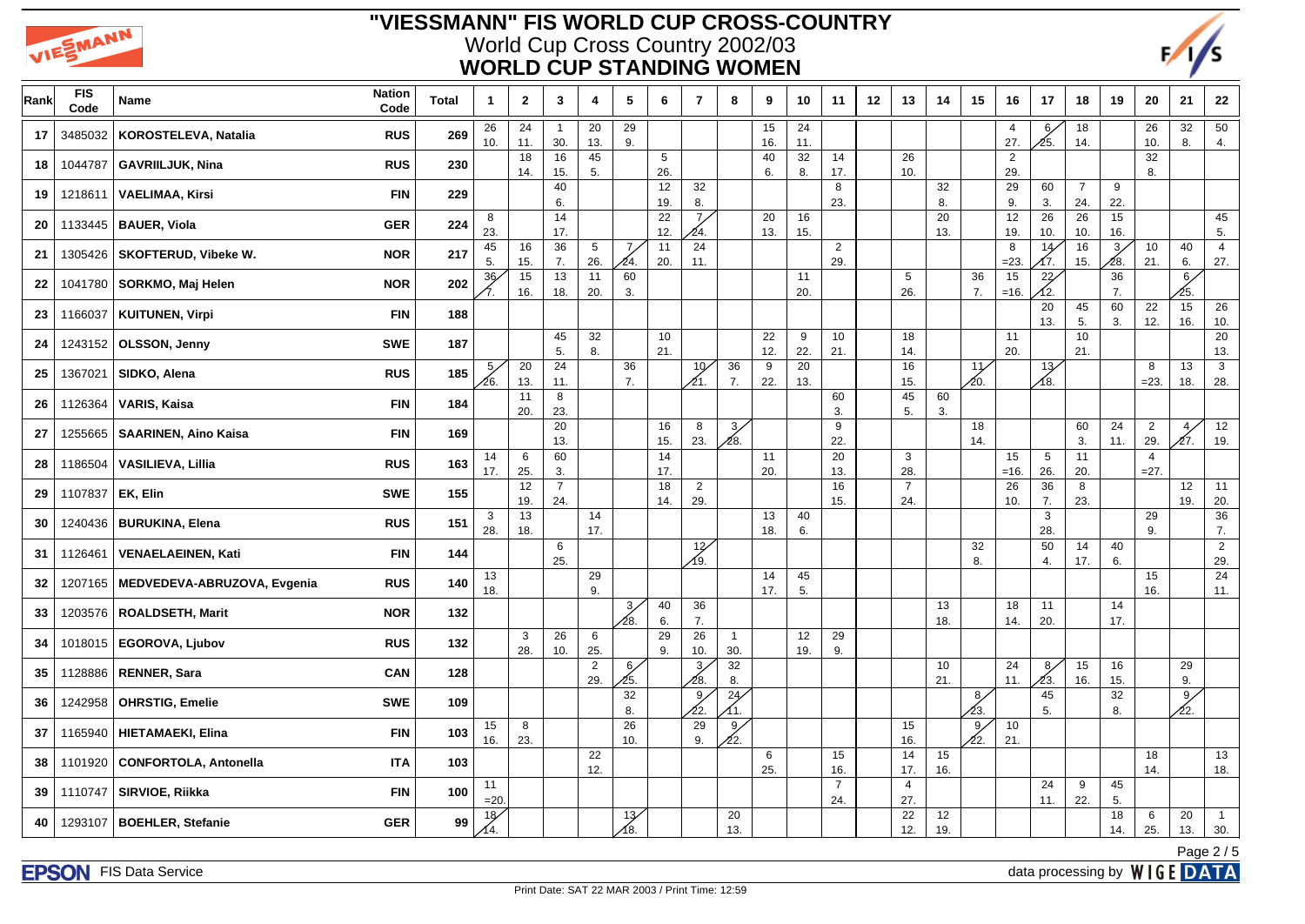



| Rank | FIS<br>Code | Name                         | <b>Nation</b><br>Code | <b>Total</b> | $\mathbf{1}$ | $\mathbf{2}$ | 3                     | 4                      | $5\phantom{.0}$ | 6                      | $\overline{7}$         | 8                     | 9         | 10        | 11                    | 12 | 13                    | 14        | 15                   | 16                    | 17                     | 18                    | 19         | 20                       | 21                    | ${\bf 22}$            |
|------|-------------|------------------------------|-----------------------|--------------|--------------|--------------|-----------------------|------------------------|-----------------|------------------------|------------------------|-----------------------|-----------|-----------|-----------------------|----|-----------------------|-----------|----------------------|-----------------------|------------------------|-----------------------|------------|--------------------------|-----------------------|-----------------------|
| 17   | 3485032     | KOROSTELEVA, Natalia         | <b>RUS</b>            | 269          | 26<br>10.    | 24<br>11.    | $\overline{1}$<br>30. | 20<br>13.              | 29<br>9.        |                        |                        |                       | 15<br>16. | 24<br>11. |                       |    |                       |           |                      | $\overline{4}$<br>27. | 6 <sub>2</sub><br>⁄25. | 18<br>14.             |            | 26<br>10.                | 32<br>8.              | $\overline{50}$<br>4. |
| 18   | 1044787     | <b>GAVRIILJUK, Nina</b>      | <b>RUS</b>            | 230          |              | 18<br>14.    | 16<br>15.             | 45<br>5.               |                 | $5\phantom{.0}$<br>26. |                        |                       | 40<br>6.  | 32<br>8.  | 14<br>17.             |    | 26<br>10.             |           |                      | $\overline{2}$<br>29. |                        |                       |            | 32<br>8.                 |                       |                       |
| 19   | 1218611     | <b>VAELIMAA, Kirsi</b>       | <b>FIN</b>            | 229          |              |              | 40<br>6.              |                        |                 | 12<br>19.              | 32<br>8.               |                       |           |           | 8<br>23.              |    |                       | 32<br>8.  |                      | 29<br>9.              | 60<br>3.               | $\overline{7}$<br>24. | 9<br>22.   |                          |                       |                       |
| 20   | 1133445     | <b>BAUER, Viola</b>          | <b>GER</b>            | 224          | 8<br>23.     |              | 14<br>17.             |                        |                 | 22<br>12.              | 7 <sub>2</sub><br>24.  |                       | 20<br>13. | 16<br>15. |                       |    |                       | 20<br>13. |                      | 12<br>19.             | 26<br>10.              | 26<br>10.             | 15<br>16.  |                          |                       | 45<br>5.              |
| 21   | 1305426     | <b>SKOFTERUD, Vibeke W.</b>  | <b>NOR</b>            | 217          | 45<br>5.     | 16<br>15.    | 36<br>7.              | $5\phantom{.0}$<br>26. | 7,<br>24.       | 11<br>20.              | 24<br>11.              |                       |           |           | $\overline{2}$<br>29. |    |                       |           |                      | 8<br>$= 23.$          | 14<br>17.              | $16\,$<br>15.         | 3/<br>⁄28. | 10<br>21.                | 40<br>6.              | $\overline{4}$<br>27. |
| 22   | 1041780     | SORKMO, Maj Helen            | <b>NOR</b>            | 202          | 36           | 15<br>16.    | 13<br>18.             | 11<br>20.              | 60<br>3.        |                        |                        |                       |           | 11<br>20. |                       |    | 5<br>26.              |           | 36<br>7.             | 15<br>$=16.$          | 22<br>12.              |                       | 36<br>7.   |                          | 6/<br>25.             |                       |
| 23   | 1166037     | <b>KUITUNEN, Virpi</b>       | <b>FIN</b>            | 188          |              |              |                       |                        |                 |                        |                        |                       |           |           |                       |    |                       |           |                      |                       | 20<br>13.              | 45<br>5.              | 60<br>3.   | 22<br>12.                | 15<br>16.             | 26<br>10.             |
| 24   | 1243152     | OLSSON, Jenny                | <b>SWE</b>            | 187          |              |              | 45<br>5.              | 32<br>8.               |                 | 10<br>21.              |                        |                       | 22<br>12. | 9<br>22.  | 10<br>21.             |    | 18<br>14.             |           |                      | 11<br>20.             |                        | 10<br>21.             |            |                          |                       | 20<br>13.             |
| 25   | 1367021     | SIDKO, Alena                 | <b>RUS</b>            | 185          | 5,<br>26.    | 20<br>13.    | 24<br>11.             |                        | 36<br>7.        |                        | 10 <sub>1</sub><br>21. | 36<br>7.              | 9<br>22.  | 20<br>13. |                       |    | 16<br>15.             |           | 11<br>20.            |                       | 13 <sub>6</sub><br>∕8. |                       |            | 8<br>$= 23.$             | 13<br>18.             | $\mathbf{3}$<br>28.   |
| 26   | 1126364     | VARIS, Kaisa                 | <b>FIN</b>            | 184          |              | 11<br>20.    | 8<br>23.              |                        |                 |                        |                        |                       |           |           | 60<br>3.              |    | 45<br>5.              | 60<br>3.  |                      |                       |                        |                       |            |                          |                       |                       |
| 27   | 1255665     | <b>SAARINEN, Aino Kaisa</b>  | <b>FIN</b>            | 169          |              |              | 20<br>13.             |                        |                 | 16<br>15.              | 8<br>23.               | 3/<br>∕28.            |           |           | 9<br>22.              |    |                       |           | 18<br>14.            |                       |                        | 60<br>3.              | 24<br>11.  | $\overline{2}$<br>29.    | 4 <sub>2</sub><br>27. | 12<br>19.             |
| 28   | 1186504     | <b>VASILIEVA, Lillia</b>     | <b>RUS</b>            | 163          | 14<br>17.    | 6<br>25.     | 60<br>3.              |                        |                 | 14<br>17.              |                        |                       | 11<br>20. |           | 20<br>13.             |    | 3<br>28.              |           |                      | 15<br>$=16.$          | $5\phantom{.0}$<br>26. | 11<br>20.             |            | $\overline{4}$<br>$=27.$ |                       |                       |
| 29   | 1107837     | EK, Elin                     | <b>SWE</b>            | 155          |              | 12<br>19.    | $\overline{7}$<br>24. |                        |                 | 18<br>14.              | $\overline{2}$<br>29.  |                       |           |           | 16<br>15.             |    | $\overline{7}$<br>24. |           |                      | 26<br>10.             | 36<br>7.               | 8<br>23.              |            |                          | 12<br>19.             | 11<br>20.             |
| 30   | 1240436     | <b>BURUKINA, Elena</b>       | <b>RUS</b>            | 151          | 3<br>28.     | 13<br>18.    |                       | 14<br>17.              |                 |                        |                        |                       | 13<br>18. | 40<br>6.  |                       |    |                       |           |                      |                       | $\mathbf{3}$<br>28.    |                       |            | 29<br>9.                 |                       | $\overline{36}$<br>7. |
| 31   | 1126461     | <b>VENAELAEINEN, Kati</b>    | <b>FIN</b>            | 144          |              |              | 6<br>25.              |                        |                 |                        | 12/<br>∕9.             |                       |           |           |                       |    |                       |           | 32<br>8.             |                       | 50<br>4.               | 14<br>17.             | 40<br>6.   |                          |                       | $\overline{2}$<br>29. |
| 32   | 1207165     | MEDVEDEVA-ABRUZOVA, Evgenia  | <b>RUS</b>            | 140          | 13<br>18.    |              |                       | 29<br>9.               |                 |                        |                        |                       | 14<br>17. | 45<br>5.  |                       |    |                       |           |                      |                       |                        |                       |            | 15<br>16.                |                       | 24<br>11.             |
| 33   | 1203576     | ROALDSETH, Marit             | <b>NOR</b>            | 132          |              |              |                       |                        | 3/<br>28.       | 40<br>6.               | 36<br>7.               |                       |           |           |                       |    |                       | 13<br>18. |                      | 18<br>14.             | 11<br>20.              |                       | 14<br>17.  |                          |                       |                       |
| 34   | 1018015     | <b>EGOROVA, Ljubov</b>       | <b>RUS</b>            | 132          |              | 3<br>28.     | 26<br>10.             | 6<br>25.               |                 | 29<br>9.               | 26<br>10.              | $\overline{1}$<br>30. |           | 12<br>19. | 29<br>9.              |    |                       |           |                      |                       |                        |                       |            |                          |                       |                       |
| 35   | 1128886     | <b>RENNER, Sara</b>          | <b>CAN</b>            | 128          |              |              |                       | $\overline{a}$<br>29.  | 6/<br>25.       |                        | $\mathbf{3}$<br>28.    | 32<br>8.              |           |           |                       |    |                       | 10<br>21. |                      | 24<br>11.             | 8,<br>Δ3.              | 15<br>16.             | 16<br>15.  |                          | 29<br>9.              |                       |
| 36   | 1242958     | <b>OHRSTIG, Emelie</b>       | <b>SWE</b>            | 109          |              |              |                       |                        | 32<br>8.        |                        | 9 <sub>2</sub><br>22.  | 24/                   |           |           |                       |    |                       |           | $\frac{8}{ }$<br>23. |                       | 45<br>5.               |                       | 32<br>8.   |                          | 9 <sub>2</sub><br>22. |                       |
| 37   | 1165940     | <b>HIETAMAEKI, Elina</b>     | <b>FIN</b>            | 103          | 15<br>16.    | 8<br>23.     |                       |                        | 26<br>10.       |                        | 29<br>9.               | 9/<br>22.             |           |           |                       |    | 15<br>16.             |           | 9/<br>22.            | 10<br>21.             |                        |                       |            |                          |                       |                       |
| 38   | 1101920     | <b>CONFORTOLA, Antonella</b> | <b>ITA</b>            | 103          |              |              |                       | 22<br>12.              |                 |                        |                        |                       | 6<br>25.  |           | 15<br>16.             |    | 14<br>17.             | 15<br>16. |                      |                       |                        |                       |            | 18<br>14.                |                       | 13<br>18.             |
| 39   | 1110747     | SIRVIOE, Riikka              | <b>FIN</b>            | 100          | 11<br>$=20$  |              |                       |                        |                 |                        |                        |                       |           |           | $\overline{7}$<br>24. |    | $\overline{4}$<br>27. |           |                      |                       | 24<br>11.              | 9<br>22.              | 45<br>5.   |                          |                       |                       |
| 40   | 1293107     | <b>BOEHLER, Stefanie</b>     | <b>GER</b>            | 99           | 18/<br>14.   |              |                       |                        | 13/<br>18.      |                        |                        | 20<br>13.             |           |           |                       |    | 22<br>12.             | 12<br>19. |                      |                       |                        |                       | 18<br>14.  | 6<br>25.                 | 20<br>13.             | $\overline{1}$<br>30. |
|      |             |                              |                       |              |              |              |                       |                        |                 |                        |                        |                       |           |           |                       |    |                       |           |                      |                       |                        |                       |            |                          |                       | Page 2/5              |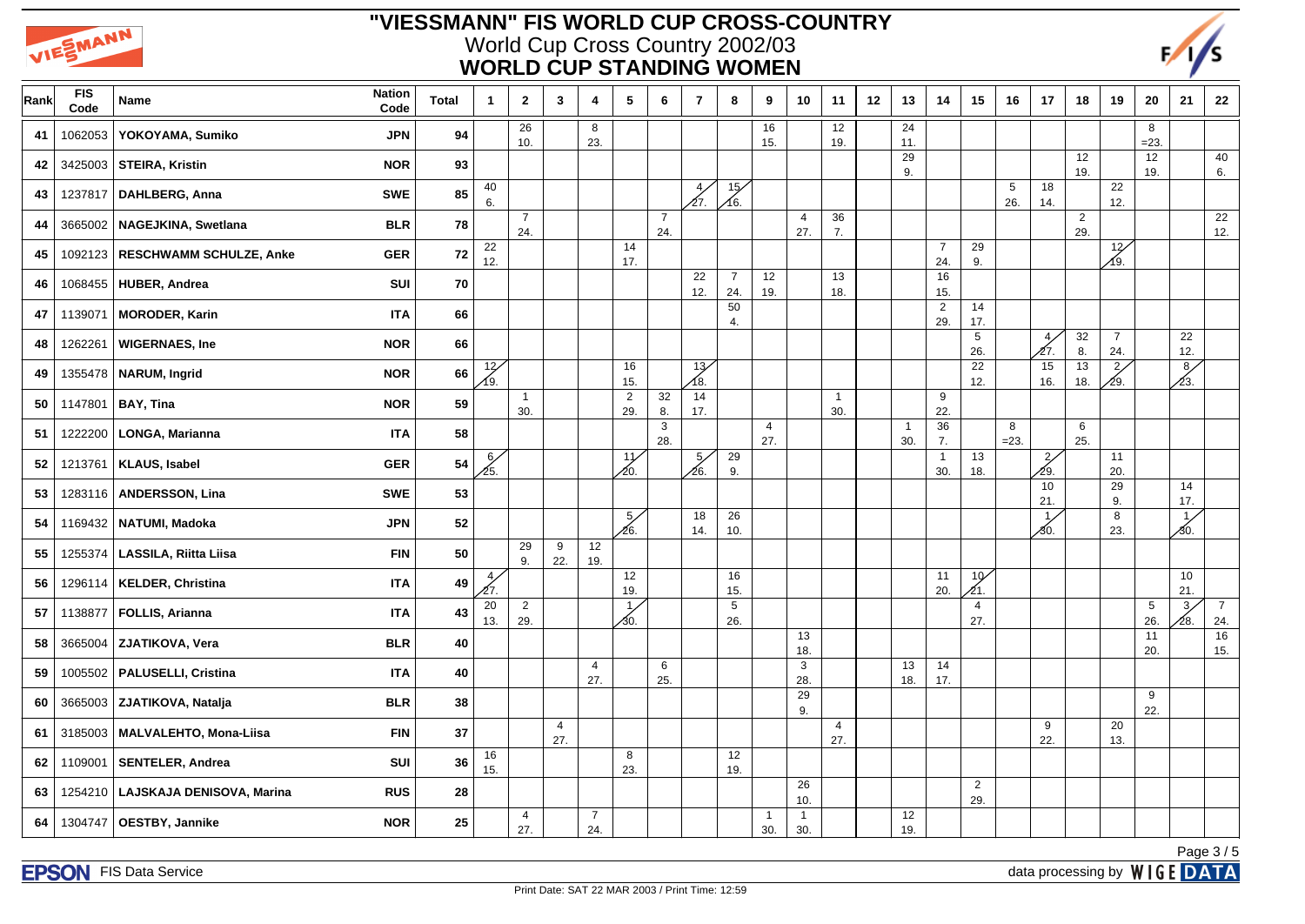



| Rank | <b>FIS</b><br>Code | Name                           | <b>Nation</b><br><b>Total</b><br>Code | 1                      | $\mathbf{2}$          | $\mathbf{3}$          | 4                     | $\sqrt{5}$            | 6                     | $\overline{7}$         | 8                      | 9                     | 10                    | 11                    | 12 | 13                    | 14                    | 15                     | 16                     | 17                    | 18                    | 19                    | 20                     | 21                     | 22                    |
|------|--------------------|--------------------------------|---------------------------------------|------------------------|-----------------------|-----------------------|-----------------------|-----------------------|-----------------------|------------------------|------------------------|-----------------------|-----------------------|-----------------------|----|-----------------------|-----------------------|------------------------|------------------------|-----------------------|-----------------------|-----------------------|------------------------|------------------------|-----------------------|
| 41   | 1062053            | YOKOYAMA, Sumiko               | <b>JPN</b><br>94                      |                        | 26<br>10.             |                       | 8<br>23.              |                       |                       |                        |                        | 16<br>15.             |                       | 12<br>19.             |    | 24<br>11.             |                       |                        |                        |                       |                       |                       | 8<br>$=23.$            |                        |                       |
| 42   | 3425003            | STEIRA, Kristin                | <b>NOR</b><br>93                      |                        |                       |                       |                       |                       |                       |                        |                        |                       |                       |                       |    | 29<br>9.              |                       |                        |                        |                       | 12<br>19.             |                       | 12<br>19.              |                        | 40<br>6.              |
| 43   | 1237817            | <b>DAHLBERG, Anna</b>          | 85<br><b>SWE</b>                      | 40<br>6.               |                       |                       |                       |                       |                       | 4,<br>12.              | $\overline{15}$<br>Á6. |                       |                       |                       |    |                       |                       |                        | $5\phantom{.0}$<br>26. | 18<br>14.             |                       | 22<br>12.             |                        |                        |                       |
| 44   | 3665002            | NAGEJKINA, Swetlana            | 78<br><b>BLR</b>                      |                        | $\overline{7}$<br>24. |                       |                       |                       | $\overline{7}$<br>24. |                        |                        |                       | $\overline{4}$<br>27. | 36<br>7.              |    |                       |                       |                        |                        |                       | $\overline{2}$<br>29. |                       |                        |                        | 22<br>12.             |
| 45   | 1092123            | <b>RESCHWAMM SCHULZE, Anke</b> | 72<br><b>GER</b>                      | 22<br>12.              |                       |                       |                       | 14<br>17.             |                       |                        |                        |                       |                       |                       |    |                       | $\overline{7}$<br>24. | 29<br>9.               |                        |                       |                       | 12<br>∕19.            |                        |                        |                       |
| 46   | 1068455            | <b>HUBER, Andrea</b>           | 70<br>SUI                             |                        |                       |                       |                       |                       |                       | 22<br>12.              | $\overline{7}$<br>24.  | 12<br>19.             |                       | 13<br>18.             |    |                       | 16<br>15.             |                        |                        |                       |                       |                       |                        |                        |                       |
| 47   | 1139071            | <b>MORODER, Karin</b>          | <b>ITA</b><br>66                      |                        |                       |                       |                       |                       |                       |                        | 50<br>4.               |                       |                       |                       |    |                       | $\overline{2}$<br>29. | 14<br>17.              |                        |                       |                       |                       |                        |                        |                       |
| 48   | 1262261            | <b>WIGERNAES, Ine</b>          | <b>NOR</b><br>66                      |                        |                       |                       |                       |                       |                       |                        |                        |                       |                       |                       |    |                       |                       | $\,$ 5 $\,$<br>26.     |                        | $\overline{4}$<br>27. | 32<br>8.              | $\overline{7}$<br>24. |                        | 22<br>12.              |                       |
| 49   | 1355478            | <b>NARUM, Ingrid</b>           | 66<br><b>NOR</b>                      | 12/<br>19.             |                       |                       |                       | 16<br>15.             |                       | 13 <sub>7</sub><br>18. |                        |                       |                       |                       |    |                       |                       | 22<br>12.              |                        | 15<br>16.             | 13<br>18.             | $\frac{2}{3}$<br>29.  |                        | 8/<br>23.              |                       |
| 50   | 1147801            | <b>BAY, Tina</b>               | <b>NOR</b><br>59                      |                        | $\mathbf{1}$<br>30.   |                       |                       | $\overline{a}$<br>29. | 32<br>8.              | 14<br>17.              |                        |                       |                       | $\overline{1}$<br>30. |    |                       | 9<br>22.              |                        |                        |                       |                       |                       |                        |                        |                       |
| 51   | 1222200            | LONGA, Marianna                | 58<br><b>ITA</b>                      |                        |                       |                       |                       |                       | $\mathbf{3}$<br>28.   |                        |                        | $\overline{4}$<br>27. |                       |                       |    | $\overline{1}$<br>30. | 36<br>7.              |                        | 8<br>$=23.$            |                       | 6<br>25.              |                       |                        |                        |                       |
| 52   | 1213761            | <b>KLAUS, Isabel</b>           | 54<br><b>GER</b>                      | $\frac{6}{25}$         |                       |                       |                       | 11<br>∕20.            |                       | 5,<br>∕26.             | 29<br>9.               |                       |                       |                       |    |                       | $\mathbf{1}$<br>30.   | 13<br>18.              |                        | $\frac{2}{3}$<br>∕29. |                       | 11<br>20.             |                        |                        |                       |
| 53   | 1283116            | <b>ANDERSSON, Lina</b>         | <b>SWE</b><br>53                      |                        |                       |                       |                       |                       |                       |                        |                        |                       |                       |                       |    |                       |                       |                        |                        | 10<br>21.             |                       | 29<br>9.              |                        | 14<br>17.              |                       |
| 54   | 1169432            | NATUMI, Madoka                 | <b>JPN</b><br>52                      |                        |                       |                       |                       | 5/<br>∕26.            |                       | 18<br>14.              | 26<br>10.              |                       |                       |                       |    |                       |                       |                        |                        | 1'<br>ර0.             |                       | 8<br>23.              |                        | $1\overline{ }$<br>30. |                       |
| 55   | 1255374            | LASSILA, Riitta Liisa          | <b>FIN</b><br>50                      |                        | 29<br>9.              | 9<br>22.              | 12<br>19.             |                       |                       |                        |                        |                       |                       |                       |    |                       |                       |                        |                        |                       |                       |                       |                        |                        |                       |
| 56   | 1296114            | <b>KELDER, Christina</b>       | 49<br><b>ITA</b>                      | $\overline{4}$<br>27.  |                       |                       |                       | 12<br>19.             |                       |                        | 16<br>15.              |                       |                       |                       |    |                       | 11<br>20.             | 10 <sup>2</sup><br>21. |                        |                       |                       |                       |                        | 10<br>21.              |                       |
| 57   | 1138877            | FOLLIS, Arianna                | 43<br><b>ITA</b>                      | $\overline{20}$<br>13. | $\overline{c}$<br>29. |                       |                       | $\mathbf{1}$<br>⁄30.  |                       |                        | $5\phantom{.0}$<br>26. |                       |                       |                       |    |                       |                       | $\overline{4}$<br>27.  |                        |                       |                       |                       | $5\phantom{.0}$<br>26. | $\frac{3}{2}$<br>∕28.  | $\overline{7}$<br>24. |
| 58   | 3665004            | ZJATIKOVA, Vera                | 40<br><b>BLR</b>                      |                        |                       |                       |                       |                       |                       |                        |                        |                       | 13<br>18.             |                       |    |                       |                       |                        |                        |                       |                       |                       | 11<br>20.              |                        | 16<br>15.             |
| 59   | 1005502            | PALUSELLI, Cristina            | 40<br><b>ITA</b>                      |                        |                       |                       | 4<br>27.              |                       | 6<br>25.              |                        |                        |                       | 3<br>28.              |                       |    | 13<br>18.             | 14<br>17.             |                        |                        |                       |                       |                       |                        |                        |                       |
| 60   | 3665003            | ZJATIKOVA, Natalja             | 38<br><b>BLR</b>                      |                        |                       |                       |                       |                       |                       |                        |                        |                       | 29<br>9.              |                       |    |                       |                       |                        |                        |                       |                       |                       | 9<br>22.               |                        |                       |
| 61   | 3185003            | MALVALEHTO, Mona-Liisa         | 37<br><b>FIN</b>                      |                        |                       | $\overline{4}$<br>27. |                       |                       |                       |                        |                        |                       |                       | 4<br>27.              |    |                       |                       |                        |                        | 9<br>22.              |                       | 20<br>13.             |                        |                        |                       |
| 62   | 1109001            | <b>SENTELER, Andrea</b>        | 36<br>SUI                             | 16<br>15.              |                       |                       |                       | 8<br>23.              |                       |                        | 12<br>19.              |                       |                       |                       |    |                       |                       |                        |                        |                       |                       |                       |                        |                        |                       |
| 63   | 1254210            | LAJSKAJA DENISOVA, Marina      | 28<br><b>RUS</b>                      |                        |                       |                       |                       |                       |                       |                        |                        |                       | 26<br>10.             |                       |    |                       |                       | $\overline{2}$<br>29.  |                        |                       |                       |                       |                        |                        |                       |
| 64   | 1304747            | <b>OESTBY, Jannike</b>         | <b>NOR</b><br>25                      |                        | $\overline{4}$<br>27. |                       | $\overline{7}$<br>24. |                       |                       |                        |                        | $\overline{1}$<br>30. | $\overline{1}$<br>30. |                       |    | 12<br>19.             |                       |                        |                        |                       |                       |                       |                        |                        |                       |
|      |                    |                                |                                       |                        |                       |                       |                       |                       |                       |                        |                        |                       |                       |                       |    |                       |                       |                        |                        |                       |                       |                       |                        |                        | Page 3/5              |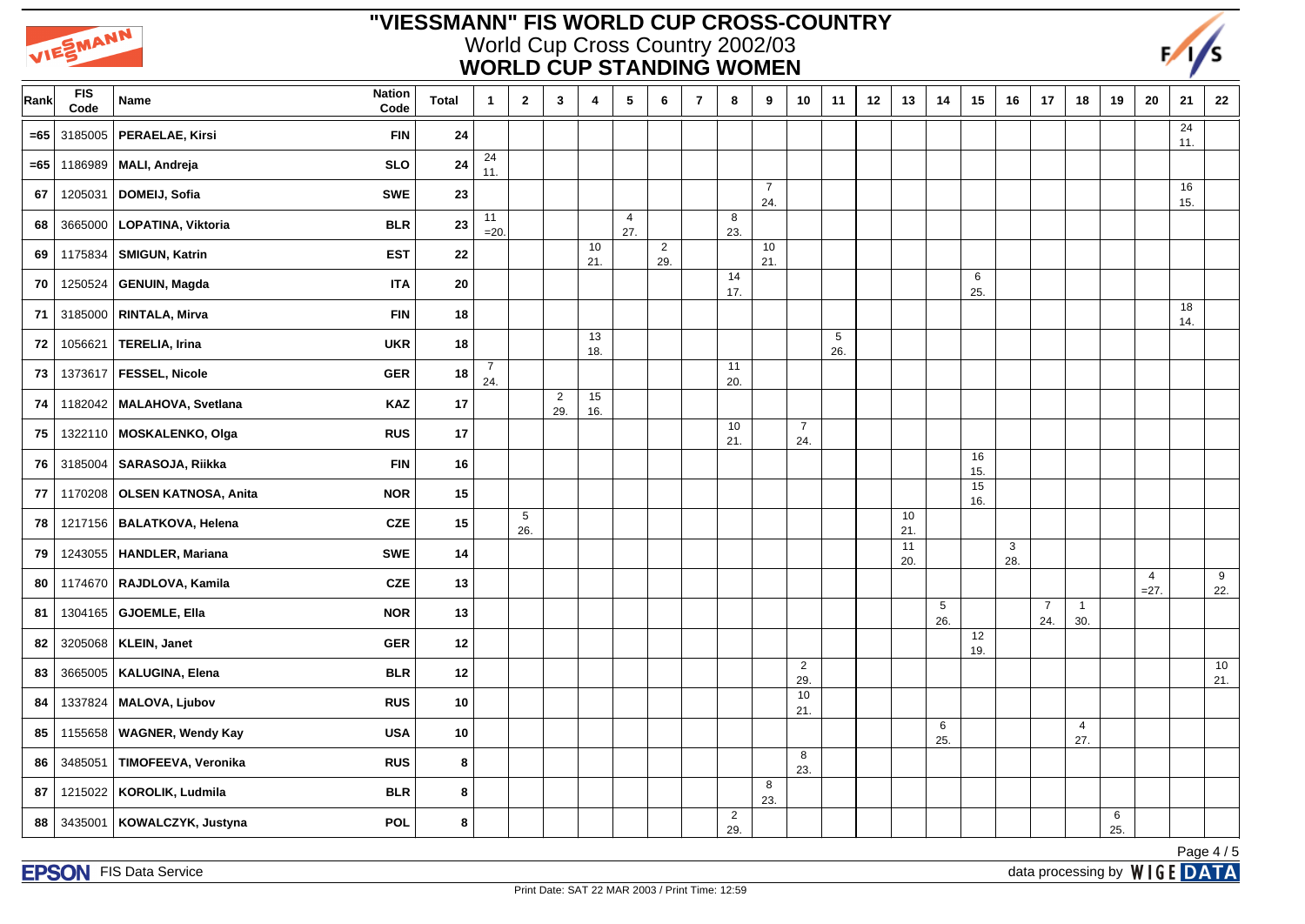



| Rank   | <b>FIS</b><br>Code | <b>Nation</b><br>Name<br>Code              | <b>Total</b> | $\mathbf{1}$          | $\mathbf{2}$           | $\mathbf{3}$          | 4         | $\sqrt{5}$            | 6                     | $\overline{7}$ | 8                     | 9                     | 10                    | 11       | 12 | 13        | 14                     | 15        | 16                  | 17                    | 18                    | 19       | 20                       | 21        | ${\bf 22}$ |
|--------|--------------------|--------------------------------------------|--------------|-----------------------|------------------------|-----------------------|-----------|-----------------------|-----------------------|----------------|-----------------------|-----------------------|-----------------------|----------|----|-----------|------------------------|-----------|---------------------|-----------------------|-----------------------|----------|--------------------------|-----------|------------|
| $= 65$ | 3185005            | PERAELAE, Kirsi<br><b>FIN</b>              | 24           |                       |                        |                       |           |                       |                       |                |                       |                       |                       |          |    |           |                        |           |                     |                       |                       |          |                          | 24<br>11. |            |
| =65    | 1186989            | MALI, Andreja<br><b>SLO</b>                | 24           | 24<br>11.             |                        |                       |           |                       |                       |                |                       |                       |                       |          |    |           |                        |           |                     |                       |                       |          |                          |           |            |
| 67     | 1205031            | DOMEIJ, Sofia<br><b>SWE</b>                | 23           |                       |                        |                       |           |                       |                       |                |                       | $\overline{7}$<br>24. |                       |          |    |           |                        |           |                     |                       |                       |          |                          | 16<br>15. |            |
| 68     | 3665000            | LOPATINA, Viktoria<br><b>BLR</b>           | 23           | 11<br>$=20$           |                        |                       |           | $\overline{4}$<br>27. |                       |                | 8<br>23.              |                       |                       |          |    |           |                        |           |                     |                       |                       |          |                          |           |            |
| 69     | 1175834            | SMIGUN, Katrin<br><b>EST</b>               | 22           |                       |                        |                       | 10<br>21. |                       | $\overline{2}$<br>29. |                |                       | 10<br>21.             |                       |          |    |           |                        |           |                     |                       |                       |          |                          |           |            |
| 70     | 1250524            | <b>ITA</b><br><b>GENUIN, Magda</b>         | 20           |                       |                        |                       |           |                       |                       |                | 14<br>17.             |                       |                       |          |    |           |                        | 6<br>25.  |                     |                       |                       |          |                          |           |            |
| 71     | 3185000            | <b>FIN</b><br>RINTALA, Mirva               | 18           |                       |                        |                       |           |                       |                       |                |                       |                       |                       |          |    |           |                        |           |                     |                       |                       |          |                          | 18<br>14. |            |
| 72     | 1056621            | <b>UKR</b><br><b>TERELIA, Irina</b>        | 18           |                       |                        |                       | 13<br>18. |                       |                       |                |                       |                       |                       | 5<br>26. |    |           |                        |           |                     |                       |                       |          |                          |           |            |
| 73     | 1373617            | <b>FESSEL, Nicole</b><br><b>GER</b>        | 18           | $\overline{7}$<br>24. |                        |                       |           |                       |                       |                | 11<br>20.             |                       |                       |          |    |           |                        |           |                     |                       |                       |          |                          |           |            |
| 74     |                    | <b>KAZ</b><br>1182042   MALAHOVA, Svetlana | 17           |                       |                        | $\overline{2}$<br>29. | 15<br>16. |                       |                       |                |                       |                       |                       |          |    |           |                        |           |                     |                       |                       |          |                          |           |            |
| 75     |                    | <b>RUS</b><br>1322110   MOSKALENKO, Olga   | 17           |                       |                        |                       |           |                       |                       |                | 10<br>21.             |                       | $\overline{7}$<br>24. |          |    |           |                        |           |                     |                       |                       |          |                          |           |            |
| 76     | 3185004            | SARASOJA, Riikka<br><b>FIN</b>             | 16           |                       |                        |                       |           |                       |                       |                |                       |                       |                       |          |    |           |                        | 16<br>15. |                     |                       |                       |          |                          |           |            |
| 77     | 1170208            | <b>OLSEN KATNOSA, Anita</b><br><b>NOR</b>  | 15           |                       |                        |                       |           |                       |                       |                |                       |                       |                       |          |    |           |                        | 15<br>16. |                     |                       |                       |          |                          |           |            |
| 78     |                    | 1217156   BALATKOVA, Helena<br><b>CZE</b>  | 15           |                       | $5\phantom{.0}$<br>26. |                       |           |                       |                       |                |                       |                       |                       |          |    | 10<br>21. |                        |           |                     |                       |                       |          |                          |           |            |
| 79     | 1243055            | <b>SWE</b><br>HANDLER, Mariana             | 14           |                       |                        |                       |           |                       |                       |                |                       |                       |                       |          |    | 11<br>20. |                        |           | $\mathbf{3}$<br>28. |                       |                       |          |                          |           |            |
| 80     | 1174670            | RAJDLOVA, Kamila<br><b>CZE</b>             | 13           |                       |                        |                       |           |                       |                       |                |                       |                       |                       |          |    |           |                        |           |                     |                       |                       |          | $\overline{4}$<br>$=27.$ |           | 9<br>22.   |
| 81     | 1304165            | <b>GJOEMLE, Ella</b><br><b>NOR</b>         | 13           |                       |                        |                       |           |                       |                       |                |                       |                       |                       |          |    |           | $5\phantom{.0}$<br>26. |           |                     | $\overline{7}$<br>24. | $\overline{1}$<br>30. |          |                          |           |            |
| 82     | 3205068            | <b>GER</b><br>KLEIN, Janet                 | 12           |                       |                        |                       |           |                       |                       |                |                       |                       |                       |          |    |           |                        | 12<br>19. |                     |                       |                       |          |                          |           |            |
| 83     | 3665005            | <b>BLR</b><br>KALUGINA, Elena              | 12           |                       |                        |                       |           |                       |                       |                |                       |                       | $\overline{2}$<br>29. |          |    |           |                        |           |                     |                       |                       |          |                          |           | 10<br>21.  |
| 84     | 1337824            | MALOVA, Ljubov<br><b>RUS</b>               | 10           |                       |                        |                       |           |                       |                       |                |                       |                       | 10<br>21.             |          |    |           |                        |           |                     |                       |                       |          |                          |           |            |
| 85     | 1155658            | <b>WAGNER, Wendy Kay</b><br><b>USA</b>     | 10           |                       |                        |                       |           |                       |                       |                |                       |                       |                       |          |    |           | 6<br>25.               |           |                     |                       | $\overline{4}$<br>27. |          |                          |           |            |
| 86     | 3485051            | TIMOFEEVA, Veronika<br><b>RUS</b>          | $\bf8$       |                       |                        |                       |           |                       |                       |                |                       |                       | 8<br>23.              |          |    |           |                        |           |                     |                       |                       |          |                          |           |            |
| 87     | 1215022            | <b>BLR</b><br>KOROLIK, Ludmila             | $\bf8$       |                       |                        |                       |           |                       |                       |                |                       | 8<br>23.              |                       |          |    |           |                        |           |                     |                       |                       |          |                          |           |            |
| 88     | 3435001            | KOWALCZYK, Justyna<br>POL                  | 8            |                       |                        |                       |           |                       |                       |                | $\overline{2}$<br>29. |                       |                       |          |    |           |                        |           |                     |                       |                       | 6<br>25. |                          |           |            |
|        |                    |                                            |              |                       |                        |                       |           |                       |                       |                |                       |                       |                       |          |    |           |                        |           |                     |                       |                       |          |                          |           | Page 4/5   |